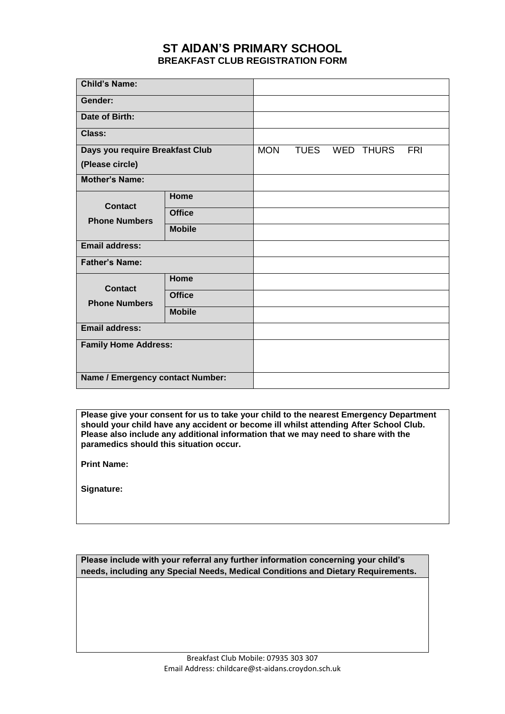## **ST AIDAN'S PRIMARY SCHOOL BREAKFAST CLUB REGISTRATION FORM**

| <b>Child's Name:</b>                   |               |            |  |                |            |
|----------------------------------------|---------------|------------|--|----------------|------------|
| Gender:                                |               |            |  |                |            |
| Date of Birth:                         |               |            |  |                |            |
| Class:                                 |               |            |  |                |            |
| Days you require Breakfast Club        |               | <b>MON</b> |  | TUES WED THURS | <b>FRI</b> |
| (Please circle)                        |               |            |  |                |            |
| <b>Mother's Name:</b>                  |               |            |  |                |            |
| <b>Contact</b><br><b>Phone Numbers</b> | Home          |            |  |                |            |
|                                        | <b>Office</b> |            |  |                |            |
|                                        | <b>Mobile</b> |            |  |                |            |
| <b>Email address:</b>                  |               |            |  |                |            |
| <b>Father's Name:</b>                  |               |            |  |                |            |
| <b>Contact</b><br><b>Phone Numbers</b> | Home          |            |  |                |            |
|                                        | <b>Office</b> |            |  |                |            |
|                                        | <b>Mobile</b> |            |  |                |            |
| <b>Email address:</b>                  |               |            |  |                |            |
| <b>Family Home Address:</b>            |               |            |  |                |            |
|                                        |               |            |  |                |            |
| Name / Emergency contact Number:       |               |            |  |                |            |

**Please give your consent for us to take your child to the nearest Emergency Department should your child have any accident or become ill whilst attending After School Club. Please also include any additional information that we may need to share with the paramedics should this situation occur.**

**Print Name:**

**Signature:**

**Please include with your referral any further information concerning your child's needs, including any Special Needs, Medical Conditions and Dietary Requirements.**